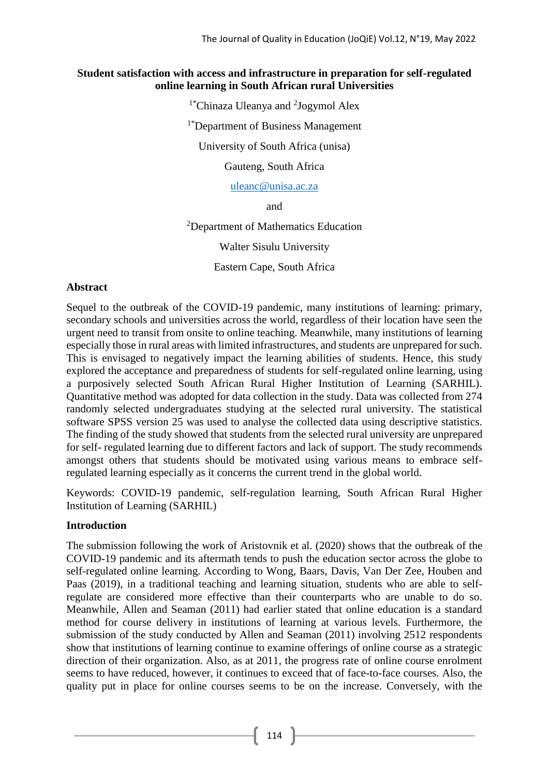#### **Student satisfaction with access and infrastructure in preparation for self-regulated online learning in South African rural Universities**

<sup>1</sup>\*Chinaza Uleanya and <sup>2</sup>Jogymol Alex <sup>1\*</sup>Department of Business Management University of South Africa (unisa) Gauteng, South Africa

[uleanc@unisa.ac.za](mailto:uleanc@unisa.ac.za)

and

<sup>2</sup>Department of Mathematics Education

Walter Sisulu University

Eastern Cape, South Africa

#### **Abstract**

Sequel to the outbreak of the COVID-19 pandemic, many institutions of learning: primary, secondary schools and universities across the world, regardless of their location have seen the urgent need to transit from onsite to online teaching. Meanwhile, many institutions of learning especially those in rural areas with limited infrastructures, and students are unprepared for such. This is envisaged to negatively impact the learning abilities of students. Hence, this study explored the acceptance and preparedness of students for self-regulated online learning, using a purposively selected South African Rural Higher Institution of Learning (SARHIL). Quantitative method was adopted for data collection in the study. Data was collected from 274 randomly selected undergraduates studying at the selected rural university. The statistical software SPSS version 25 was used to analyse the collected data using descriptive statistics. The finding of the study showed that students from the selected rural university are unprepared for self- regulated learning due to different factors and lack of support. The study recommends amongst others that students should be motivated using various means to embrace selfregulated learning especially as it concerns the current trend in the global world.

Keywords: COVID-19 pandemic, self-regulation learning, South African Rural Higher Institution of Learning (SARHIL)

## **Introduction**

The submission following the work of Aristovnik et al. (2020) shows that the outbreak of the COVID-19 pandemic and its aftermath tends to push the education sector across the globe to self-regulated online learning. According to Wong, Baars, Davis, Van Der Zee, Houben and Paas (2019), in a traditional teaching and learning situation, students who are able to selfregulate are considered more effective than their counterparts who are unable to do so. Meanwhile, Allen and Seaman (2011) had earlier stated that online education is a standard method for course delivery in institutions of learning at various levels. Furthermore, the submission of the study conducted by Allen and Seaman (2011) involving 2512 respondents show that institutions of learning continue to examine offerings of online course as a strategic direction of their organization. Also, as at 2011, the progress rate of online course enrolment seems to have reduced, however, it continues to exceed that of face-to-face courses. Also, the quality put in place for online courses seems to be on the increase. Conversely, with the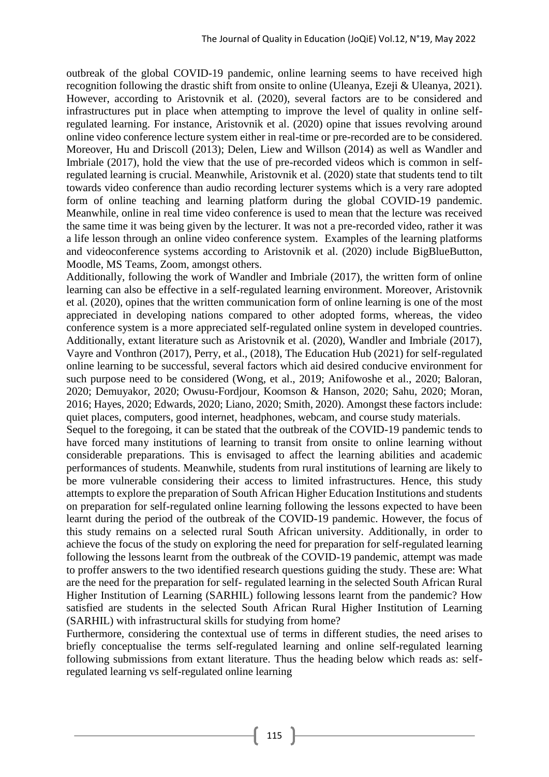outbreak of the global COVID-19 pandemic, online learning seems to have received high recognition following the drastic shift from onsite to online (Uleanya, Ezeji & Uleanya, 2021). However, according to Aristovnik et al. (2020), several factors are to be considered and infrastructures put in place when attempting to improve the level of quality in online selfregulated learning. For instance, Aristovnik et al. (2020) opine that issues revolving around online video conference lecture system either in real-time or pre-recorded are to be considered. Moreover, Hu and Driscoll (2013); Delen, Liew and Willson (2014) as well as Wandler and Imbriale (2017), hold the view that the use of pre-recorded videos which is common in selfregulated learning is crucial. Meanwhile, Aristovnik et al. (2020) state that students tend to tilt towards video conference than audio recording lecturer systems which is a very rare adopted form of online teaching and learning platform during the global COVID-19 pandemic. Meanwhile, online in real time video conference is used to mean that the lecture was received the same time it was being given by the lecturer. It was not a pre-recorded video, rather it was a life lesson through an online video conference system. Examples of the learning platforms and videoconference systems according to Aristovnik et al. (2020) include BigBlueButton, Moodle, MS Teams, Zoom, amongst others.

Additionally, following the work of Wandler and Imbriale (2017), the written form of online learning can also be effective in a self-regulated learning environment. Moreover, Aristovnik et al. (2020), opines that the written communication form of online learning is one of the most appreciated in developing nations compared to other adopted forms, whereas, the video conference system is a more appreciated self-regulated online system in developed countries. Additionally, extant literature such as Aristovnik et al. (2020), Wandler and Imbriale (2017), Vayre and Vonthron (2017), Perry, et al., (2018), The Education Hub (2021) for self-regulated online learning to be successful, several factors which aid desired conducive environment for such purpose need to be considered (Wong, et al., 2019; Anifowoshe et al., 2020; Baloran, 2020; Demuyakor, 2020; Owusu-Fordjour, Koomson & Hanson, 2020; Sahu, 2020; Moran, 2016; Hayes, 2020; Edwards, 2020; Liano, 2020; Smith, 2020). Amongst these factors include: quiet places, computers, good internet, headphones, webcam, and course study materials.

Sequel to the foregoing, it can be stated that the outbreak of the COVID-19 pandemic tends to have forced many institutions of learning to transit from onsite to online learning without considerable preparations. This is envisaged to affect the learning abilities and academic performances of students. Meanwhile, students from rural institutions of learning are likely to be more vulnerable considering their access to limited infrastructures. Hence, this study attempts to explore the preparation of South African Higher Education Institutions and students on preparation for self-regulated online learning following the lessons expected to have been learnt during the period of the outbreak of the COVID-19 pandemic. However, the focus of this study remains on a selected rural South African university. Additionally, in order to achieve the focus of the study on exploring the need for preparation for self-regulated learning following the lessons learnt from the outbreak of the COVID-19 pandemic, attempt was made to proffer answers to the two identified research questions guiding the study. These are: What are the need for the preparation for self- regulated learning in the selected South African Rural Higher Institution of Learning (SARHIL) following lessons learnt from the pandemic? How satisfied are students in the selected South African Rural Higher Institution of Learning (SARHIL) with infrastructural skills for studying from home?

Furthermore, considering the contextual use of terms in different studies, the need arises to briefly conceptualise the terms self-regulated learning and online self-regulated learning following submissions from extant literature. Thus the heading below which reads as: selfregulated learning vs self-regulated online learning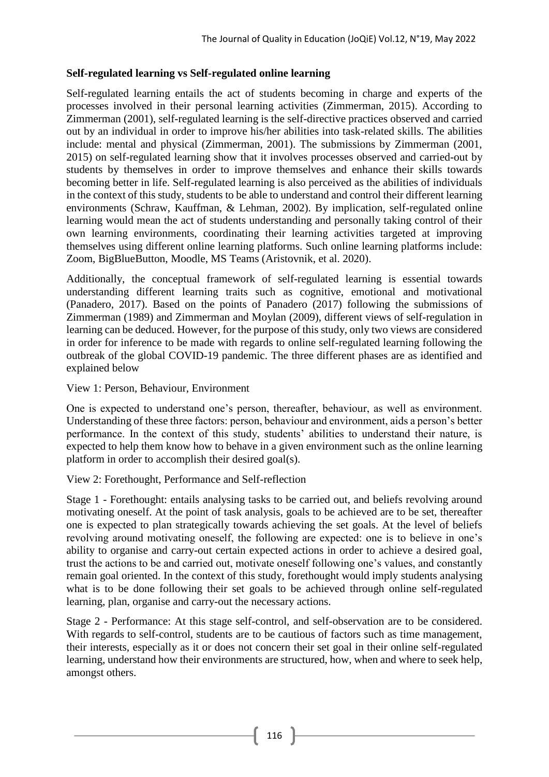## **Self-regulated learning vs Self-regulated online learning**

Self-regulated learning entails the act of students becoming in charge and experts of the processes involved in their personal learning activities (Zimmerman, 2015). According to Zimmerman (2001), self-regulated learning is the self-directive practices observed and carried out by an individual in order to improve his/her abilities into task-related skills. The abilities include: mental and physical (Zimmerman, 2001). The submissions by Zimmerman (2001, 2015) on self-regulated learning show that it involves processes observed and carried-out by students by themselves in order to improve themselves and enhance their skills towards becoming better in life. Self-regulated learning is also perceived as the abilities of individuals in the context of this study, students to be able to understand and control their different learning environments (Schraw, Kauffman, & Lehman, 2002). By implication, self-regulated online learning would mean the act of students understanding and personally taking control of their own learning environments, coordinating their learning activities targeted at improving themselves using different online learning platforms. Such online learning platforms include: Zoom, BigBlueButton, Moodle, MS Teams (Aristovnik, et al. 2020).

Additionally, the conceptual framework of self-regulated learning is essential towards understanding different learning traits such as cognitive, emotional and motivational (Panadero, 2017). Based on the points of Panadero (2017) following the submissions of Zimmerman (1989) and Zimmerman and Moylan (2009), different views of self-regulation in learning can be deduced. However, for the purpose of this study, only two views are considered in order for inference to be made with regards to online self-regulated learning following the outbreak of the global COVID-19 pandemic. The three different phases are as identified and explained below

## View 1: Person, Behaviour, Environment

One is expected to understand one's person, thereafter, behaviour, as well as environment. Understanding of these three factors: person, behaviour and environment, aids a person's better performance. In the context of this study, students' abilities to understand their nature, is expected to help them know how to behave in a given environment such as the online learning platform in order to accomplish their desired goal(s).

## View 2: Forethought, Performance and Self-reflection

Stage 1 - Forethought: entails analysing tasks to be carried out, and beliefs revolving around motivating oneself. At the point of task analysis, goals to be achieved are to be set, thereafter one is expected to plan strategically towards achieving the set goals. At the level of beliefs revolving around motivating oneself, the following are expected: one is to believe in one's ability to organise and carry-out certain expected actions in order to achieve a desired goal, trust the actions to be and carried out, motivate oneself following one's values, and constantly remain goal oriented. In the context of this study, forethought would imply students analysing what is to be done following their set goals to be achieved through online self-regulated learning, plan, organise and carry-out the necessary actions.

Stage 2 - Performance: At this stage self-control, and self-observation are to be considered. With regards to self-control, students are to be cautious of factors such as time management, their interests, especially as it or does not concern their set goal in their online self-regulated learning, understand how their environments are structured, how, when and where to seek help, amongst others.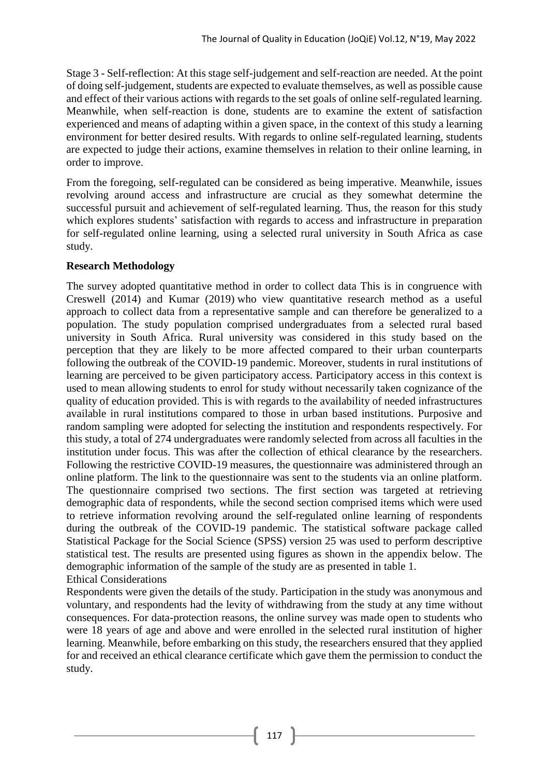Stage 3 - Self-reflection: At this stage self-judgement and self-reaction are needed. At the point of doing self-judgement, students are expected to evaluate themselves, as well as possible cause and effect of their various actions with regards to the set goals of online self-regulated learning. Meanwhile, when self-reaction is done, students are to examine the extent of satisfaction experienced and means of adapting within a given space, in the context of this study a learning environment for better desired results. With regards to online self-regulated learning, students are expected to judge their actions, examine themselves in relation to their online learning, in order to improve.

From the foregoing, self-regulated can be considered as being imperative. Meanwhile, issues revolving around access and infrastructure are crucial as they somewhat determine the successful pursuit and achievement of self-regulated learning. Thus, the reason for this study which explores students' satisfaction with regards to access and infrastructure in preparation for self-regulated online learning, using a selected rural university in South Africa as case study.

#### **Research Methodology**

The survey adopted quantitative method in order to collect data This is in congruence with Creswell (2014) and Kumar (2019) who view quantitative research method as a useful approach to collect data from a representative sample and can therefore be generalized to a population. The study population comprised undergraduates from a selected rural based university in South Africa. Rural university was considered in this study based on the perception that they are likely to be more affected compared to their urban counterparts following the outbreak of the COVID-19 pandemic. Moreover, students in rural institutions of learning are perceived to be given participatory access. Participatory access in this context is used to mean allowing students to enrol for study without necessarily taken cognizance of the quality of education provided. This is with regards to the availability of needed infrastructures available in rural institutions compared to those in urban based institutions. Purposive and random sampling were adopted for selecting the institution and respondents respectively. For this study, a total of 274 undergraduates were randomly selected from across all faculties in the institution under focus. This was after the collection of ethical clearance by the researchers. Following the restrictive COVID-19 measures, the questionnaire was administered through an online platform. The link to the questionnaire was sent to the students via an online platform. The questionnaire comprised two sections. The first section was targeted at retrieving demographic data of respondents, while the second section comprised items which were used to retrieve information revolving around the self-regulated online learning of respondents during the outbreak of the COVID-19 pandemic. The statistical software package called Statistical Package for the Social Science (SPSS) version 25 was used to perform descriptive statistical test. The results are presented using figures as shown in the appendix below. The demographic information of the sample of the study are as presented in table 1. Ethical Considerations

Respondents were given the details of the study. Participation in the study was anonymous and voluntary, and respondents had the levity of withdrawing from the study at any time without consequences. For data-protection reasons, the online survey was made open to students who were 18 years of age and above and were enrolled in the selected rural institution of higher learning. Meanwhile, before embarking on this study, the researchers ensured that they applied for and received an ethical clearance certificate which gave them the permission to conduct the study.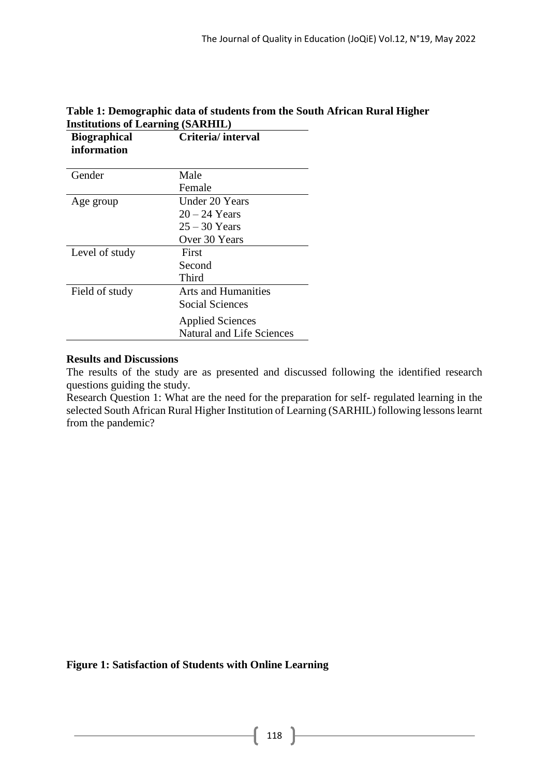| <b>Biographical</b><br>information | Criteria/interval                |
|------------------------------------|----------------------------------|
| Gender                             | Male                             |
|                                    | Female                           |
| Age group                          | Under 20 Years                   |
|                                    | $20 - 24$ Years                  |
|                                    | $25 - 30$ Years                  |
|                                    | Over 30 Years                    |
| Level of study                     | First                            |
|                                    | Second                           |
|                                    | Third                            |
| Field of study                     | <b>Arts and Humanities</b>       |
|                                    | <b>Social Sciences</b>           |
|                                    | <b>Applied Sciences</b>          |
|                                    | <b>Natural and Life Sciences</b> |

# **Table 1: Demographic data of students from the South African Rural Higher Institutions of Learning (SARHIL)**

## **Results and Discussions**

The results of the study are as presented and discussed following the identified research questions guiding the study.

Research Question 1: What are the need for the preparation for self- regulated learning in the selected South African Rural Higher Institution of Learning (SARHIL) following lessons learnt from the pandemic?

**Figure 1: Satisfaction of Students with Online Learning**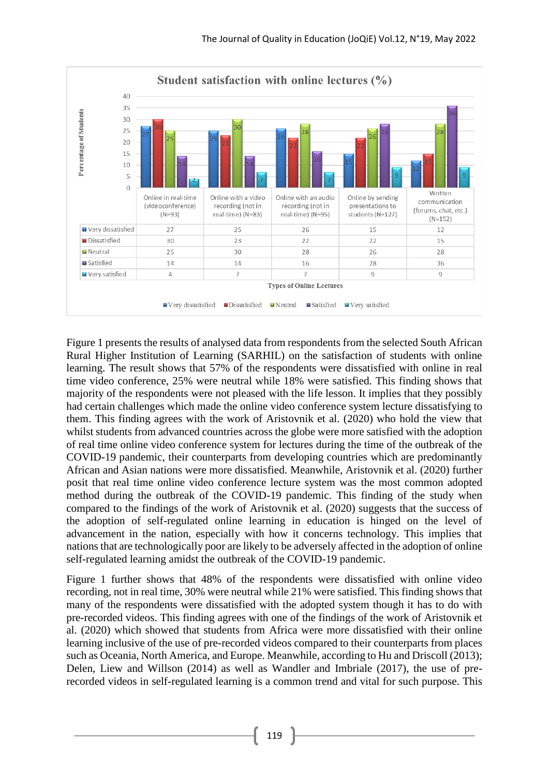

Figure 1 presents the results of analysed data from respondents from the selected South African Rural Higher Institution of Learning (SARHIL) on the satisfaction of students with online learning. The result shows that 57% of the respondents were dissatisfied with online in real time video conference, 25% were neutral while 18% were satisfied. This finding shows that majority of the respondents were not pleased with the life lesson. It implies that they possibly had certain challenges which made the online video conference system lecture dissatisfying to them. This finding agrees with the work of Aristovnik et al. (2020) who hold the view that whilst students from advanced countries across the globe were more satisfied with the adoption of real time online video conference system for lectures during the time of the outbreak of the COVID-19 pandemic, their counterparts from developing countries which are predominantly African and Asian nations were more dissatisfied. Meanwhile, Aristovnik et al. (2020) further posit that real time online video conference lecture system was the most common adopted method during the outbreak of the COVID-19 pandemic. This finding of the study when compared to the findings of the work of Aristovnik et al. (2020) suggests that the success of the adoption of self-regulated online learning in education is hinged on the level of advancement in the nation, especially with how it concerns technology. This implies that nations that are technologically poor are likely to be adversely affected in the adoption of online self-regulated learning amidst the outbreak of the COVID-19 pandemic.

Figure 1 further shows that 48% of the respondents were dissatisfied with online video recording, not in real time, 30% were neutral while 21% were satisfied. This finding shows that many of the respondents were dissatisfied with the adopted system though it has to do with pre-recorded videos. This finding agrees with one of the findings of the work of Aristovnik et al. (2020) which showed that students from Africa were more dissatisfied with their online learning inclusive of the use of pre-recorded videos compared to their counterparts from places such as Oceania, North America, and Europe. Meanwhile, according to Hu and Driscoll (2013); Delen, Liew and Willson (2014) as well as Wandler and Imbriale (2017), the use of prerecorded videos in self-regulated learning is a common trend and vital for such purpose. This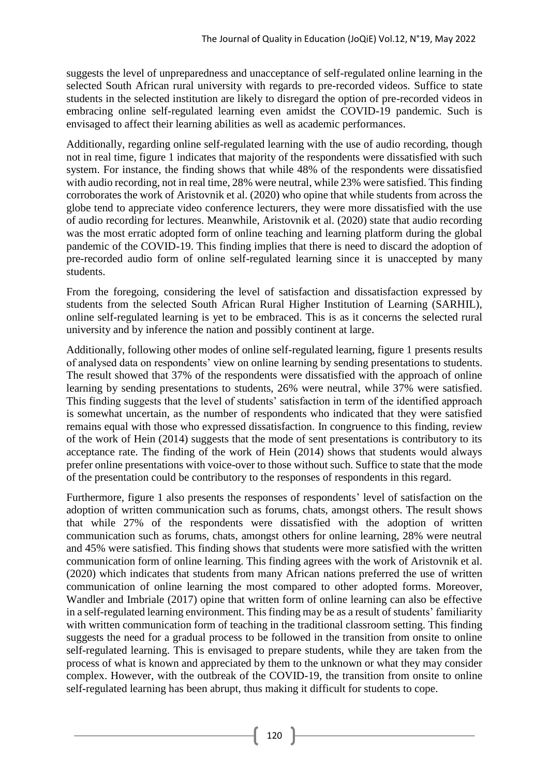suggests the level of unpreparedness and unacceptance of self-regulated online learning in the selected South African rural university with regards to pre-recorded videos. Suffice to state students in the selected institution are likely to disregard the option of pre-recorded videos in embracing online self-regulated learning even amidst the COVID-19 pandemic. Such is envisaged to affect their learning abilities as well as academic performances.

Additionally, regarding online self-regulated learning with the use of audio recording, though not in real time, figure 1 indicates that majority of the respondents were dissatisfied with such system. For instance, the finding shows that while 48% of the respondents were dissatisfied with audio recording, not in real time, 28% were neutral, while 23% were satisfied. This finding corroborates the work of Aristovnik et al. (2020) who opine that while students from across the globe tend to appreciate video conference lecturers, they were more dissatisfied with the use of audio recording for lectures. Meanwhile, Aristovnik et al. (2020) state that audio recording was the most erratic adopted form of online teaching and learning platform during the global pandemic of the COVID-19. This finding implies that there is need to discard the adoption of pre-recorded audio form of online self-regulated learning since it is unaccepted by many students.

From the foregoing, considering the level of satisfaction and dissatisfaction expressed by students from the selected South African Rural Higher Institution of Learning (SARHIL), online self-regulated learning is yet to be embraced. This is as it concerns the selected rural university and by inference the nation and possibly continent at large.

Additionally, following other modes of online self-regulated learning, figure 1 presents results of analysed data on respondents' view on online learning by sending presentations to students. The result showed that 37% of the respondents were dissatisfied with the approach of online learning by sending presentations to students, 26% were neutral, while 37% were satisfied. This finding suggests that the level of students' satisfaction in term of the identified approach is somewhat uncertain, as the number of respondents who indicated that they were satisfied remains equal with those who expressed dissatisfaction. In congruence to this finding, review of the work of Hein (2014) suggests that the mode of sent presentations is contributory to its acceptance rate. The finding of the work of Hein (2014) shows that students would always prefer online presentations with voice-over to those without such. Suffice to state that the mode of the presentation could be contributory to the responses of respondents in this regard.

Furthermore, figure 1 also presents the responses of respondents' level of satisfaction on the adoption of written communication such as forums, chats, amongst others. The result shows that while 27% of the respondents were dissatisfied with the adoption of written communication such as forums, chats, amongst others for online learning, 28% were neutral and 45% were satisfied. This finding shows that students were more satisfied with the written communication form of online learning. This finding agrees with the work of Aristovnik et al. (2020) which indicates that students from many African nations preferred the use of written communication of online learning the most compared to other adopted forms. Moreover, Wandler and Imbriale (2017) opine that written form of online learning can also be effective in a self-regulated learning environment. This finding may be as a result of students' familiarity with written communication form of teaching in the traditional classroom setting. This finding suggests the need for a gradual process to be followed in the transition from onsite to online self-regulated learning. This is envisaged to prepare students, while they are taken from the process of what is known and appreciated by them to the unknown or what they may consider complex. However, with the outbreak of the COVID-19, the transition from onsite to online self-regulated learning has been abrupt, thus making it difficult for students to cope.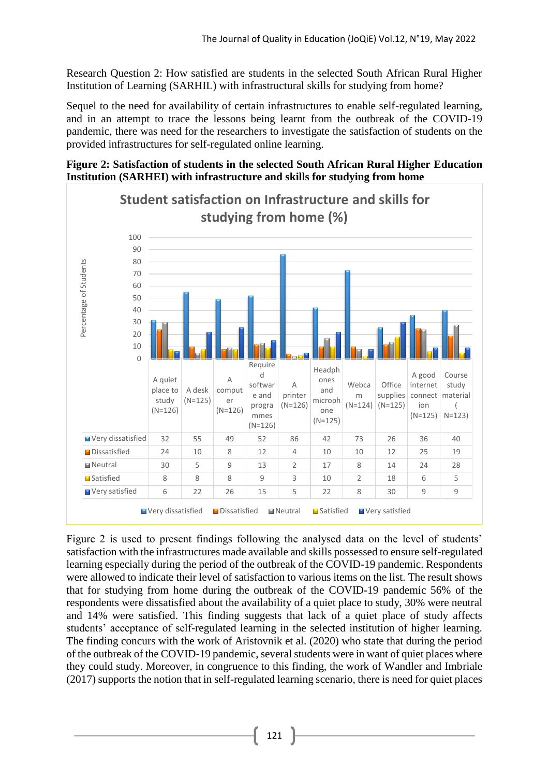Research Question 2: How satisfied are students in the selected South African Rural Higher Institution of Learning (SARHIL) with infrastructural skills for studying from home?

Sequel to the need for availability of certain infrastructures to enable self-regulated learning, and in an attempt to trace the lessons being learnt from the outbreak of the COVID-19 pandemic, there was need for the researchers to investigate the satisfaction of students on the provided infrastructures for self-regulated online learning.

**Figure 2: Satisfaction of students in the selected South African Rural Higher Education Institution (SARHEI) with infrastructure and skills for studying from home**



Figure 2 is used to present findings following the analysed data on the level of students' satisfaction with the infrastructures made available and skills possessed to ensure self-regulated learning especially during the period of the outbreak of the COVID-19 pandemic. Respondents were allowed to indicate their level of satisfaction to various items on the list. The result shows that for studying from home during the outbreak of the COVID-19 pandemic 56% of the respondents were dissatisfied about the availability of a quiet place to study, 30% were neutral and 14% were satisfied. This finding suggests that lack of a quiet place of study affects students' acceptance of self-regulated learning in the selected institution of higher learning. The finding concurs with the work of Aristovnik et al. (2020) who state that during the period of the outbreak of the COVID-19 pandemic, several students were in want of quiet places where they could study. Moreover, in congruence to this finding, the work of Wandler and Imbriale (2017) supports the notion that in self-regulated learning scenario, there is need for quiet places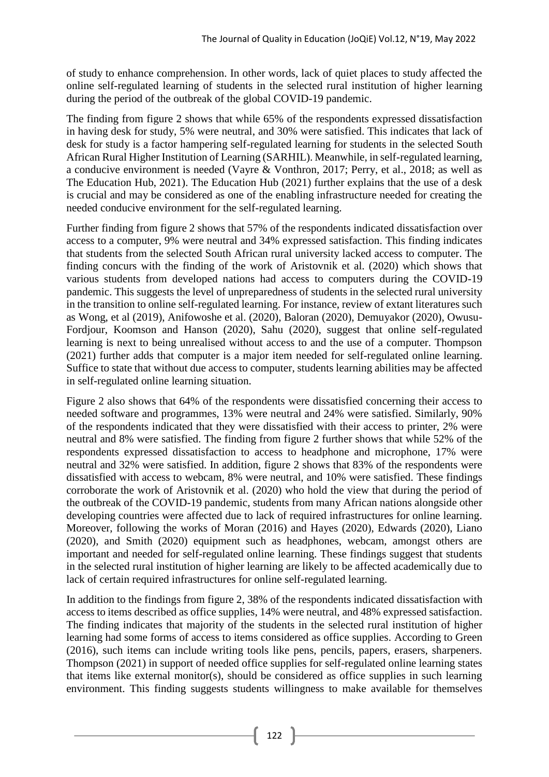of study to enhance comprehension. In other words, lack of quiet places to study affected the online self-regulated learning of students in the selected rural institution of higher learning during the period of the outbreak of the global COVID-19 pandemic.

The finding from figure 2 shows that while 65% of the respondents expressed dissatisfaction in having desk for study, 5% were neutral, and 30% were satisfied. This indicates that lack of desk for study is a factor hampering self-regulated learning for students in the selected South African Rural Higher Institution of Learning (SARHIL). Meanwhile, in self-regulated learning, a conducive environment is needed (Vayre & Vonthron, 2017; Perry, et al., 2018; as well as The Education Hub, 2021). The Education Hub (2021) further explains that the use of a desk is crucial and may be considered as one of the enabling infrastructure needed for creating the needed conducive environment for the self-regulated learning.

Further finding from figure 2 shows that 57% of the respondents indicated dissatisfaction over access to a computer, 9% were neutral and 34% expressed satisfaction. This finding indicates that students from the selected South African rural university lacked access to computer. The finding concurs with the finding of the work of Aristovnik et al. (2020) which shows that various students from developed nations had access to computers during the COVID-19 pandemic. This suggests the level of unpreparedness of students in the selected rural university in the transition to online self-regulated learning. For instance, review of extant literatures such as Wong, et al (2019), Anifowoshe et al. (2020), Baloran (2020), Demuyakor (2020), Owusu-Fordjour, Koomson and Hanson (2020), Sahu (2020), suggest that online self-regulated learning is next to being unrealised without access to and the use of a computer. Thompson (2021) further adds that computer is a major item needed for self-regulated online learning. Suffice to state that without due access to computer, students learning abilities may be affected in self-regulated online learning situation.

Figure 2 also shows that 64% of the respondents were dissatisfied concerning their access to needed software and programmes, 13% were neutral and 24% were satisfied. Similarly, 90% of the respondents indicated that they were dissatisfied with their access to printer, 2% were neutral and 8% were satisfied. The finding from figure 2 further shows that while 52% of the respondents expressed dissatisfaction to access to headphone and microphone, 17% were neutral and 32% were satisfied. In addition, figure 2 shows that 83% of the respondents were dissatisfied with access to webcam, 8% were neutral, and 10% were satisfied. These findings corroborate the work of Aristovnik et al. (2020) who hold the view that during the period of the outbreak of the COVID-19 pandemic, students from many African nations alongside other developing countries were affected due to lack of required infrastructures for online learning. Moreover, following the works of Moran (2016) and Hayes (2020), Edwards (2020), Liano (2020), and Smith (2020) equipment such as headphones, webcam, amongst others are important and needed for self-regulated online learning. These findings suggest that students in the selected rural institution of higher learning are likely to be affected academically due to lack of certain required infrastructures for online self-regulated learning.

In addition to the findings from figure 2, 38% of the respondents indicated dissatisfaction with access to items described as office supplies, 14% were neutral, and 48% expressed satisfaction. The finding indicates that majority of the students in the selected rural institution of higher learning had some forms of access to items considered as office supplies. According to Green (2016), such items can include writing tools like pens, pencils, papers, erasers, sharpeners. Thompson (2021) in support of needed office supplies for self-regulated online learning states that items like external monitor(s), should be considered as office supplies in such learning environment. This finding suggests students willingness to make available for themselves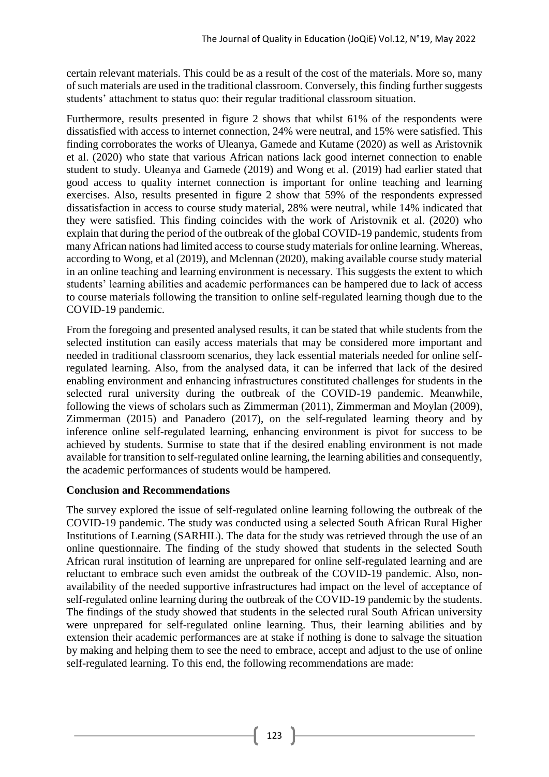certain relevant materials. This could be as a result of the cost of the materials. More so, many of such materials are used in the traditional classroom. Conversely, this finding further suggests students' attachment to status quo: their regular traditional classroom situation.

Furthermore, results presented in figure 2 shows that whilst 61% of the respondents were dissatisfied with access to internet connection, 24% were neutral, and 15% were satisfied. This finding corroborates the works of Uleanya, Gamede and Kutame (2020) as well as Aristovnik et al. (2020) who state that various African nations lack good internet connection to enable student to study. Uleanya and Gamede (2019) and Wong et al. (2019) had earlier stated that good access to quality internet connection is important for online teaching and learning exercises. Also, results presented in figure 2 show that 59% of the respondents expressed dissatisfaction in access to course study material, 28% were neutral, while 14% indicated that they were satisfied. This finding coincides with the work of Aristovnik et al. (2020) who explain that during the period of the outbreak of the global COVID-19 pandemic, students from many African nations had limited access to course study materials for online learning. Whereas, according to Wong, et al (2019), and Mclennan (2020), making available course study material in an online teaching and learning environment is necessary. This suggests the extent to which students' learning abilities and academic performances can be hampered due to lack of access to course materials following the transition to online self-regulated learning though due to the COVID-19 pandemic.

From the foregoing and presented analysed results, it can be stated that while students from the selected institution can easily access materials that may be considered more important and needed in traditional classroom scenarios, they lack essential materials needed for online selfregulated learning. Also, from the analysed data, it can be inferred that lack of the desired enabling environment and enhancing infrastructures constituted challenges for students in the selected rural university during the outbreak of the COVID-19 pandemic. Meanwhile, following the views of scholars such as Zimmerman (2011), Zimmerman and Moylan (2009), Zimmerman (2015) and Panadero (2017), on the self-regulated learning theory and by inference online self-regulated learning, enhancing environment is pivot for success to be achieved by students. Surmise to state that if the desired enabling environment is not made available for transition to self-regulated online learning, the learning abilities and consequently, the academic performances of students would be hampered.

## **Conclusion and Recommendations**

The survey explored the issue of self-regulated online learning following the outbreak of the COVID-19 pandemic. The study was conducted using a selected South African Rural Higher Institutions of Learning (SARHIL). The data for the study was retrieved through the use of an online questionnaire. The finding of the study showed that students in the selected South African rural institution of learning are unprepared for online self-regulated learning and are reluctant to embrace such even amidst the outbreak of the COVID-19 pandemic. Also, nonavailability of the needed supportive infrastructures had impact on the level of acceptance of self-regulated online learning during the outbreak of the COVID-19 pandemic by the students. The findings of the study showed that students in the selected rural South African university were unprepared for self-regulated online learning. Thus, their learning abilities and by extension their academic performances are at stake if nothing is done to salvage the situation by making and helping them to see the need to embrace, accept and adjust to the use of online self-regulated learning. To this end, the following recommendations are made: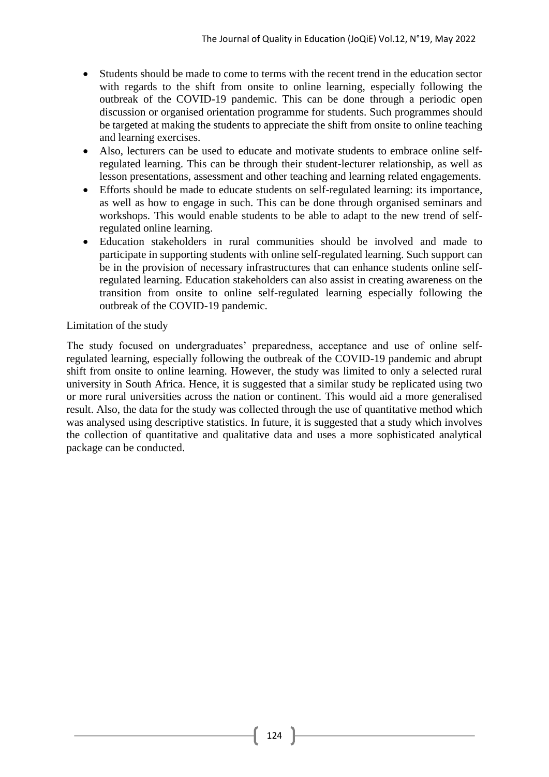- Students should be made to come to terms with the recent trend in the education sector with regards to the shift from onsite to online learning, especially following the outbreak of the COVID-19 pandemic. This can be done through a periodic open discussion or organised orientation programme for students. Such programmes should be targeted at making the students to appreciate the shift from onsite to online teaching and learning exercises.
- Also, lecturers can be used to educate and motivate students to embrace online selfregulated learning. This can be through their student-lecturer relationship, as well as lesson presentations, assessment and other teaching and learning related engagements.
- Efforts should be made to educate students on self-regulated learning: its importance, as well as how to engage in such. This can be done through organised seminars and workshops. This would enable students to be able to adapt to the new trend of selfregulated online learning.
- Education stakeholders in rural communities should be involved and made to participate in supporting students with online self-regulated learning. Such support can be in the provision of necessary infrastructures that can enhance students online selfregulated learning. Education stakeholders can also assist in creating awareness on the transition from onsite to online self-regulated learning especially following the outbreak of the COVID-19 pandemic.

# Limitation of the study

The study focused on undergraduates' preparedness, acceptance and use of online selfregulated learning, especially following the outbreak of the COVID-19 pandemic and abrupt shift from onsite to online learning. However, the study was limited to only a selected rural university in South Africa. Hence, it is suggested that a similar study be replicated using two or more rural universities across the nation or continent. This would aid a more generalised result. Also, the data for the study was collected through the use of quantitative method which was analysed using descriptive statistics. In future, it is suggested that a study which involves the collection of quantitative and qualitative data and uses a more sophisticated analytical package can be conducted.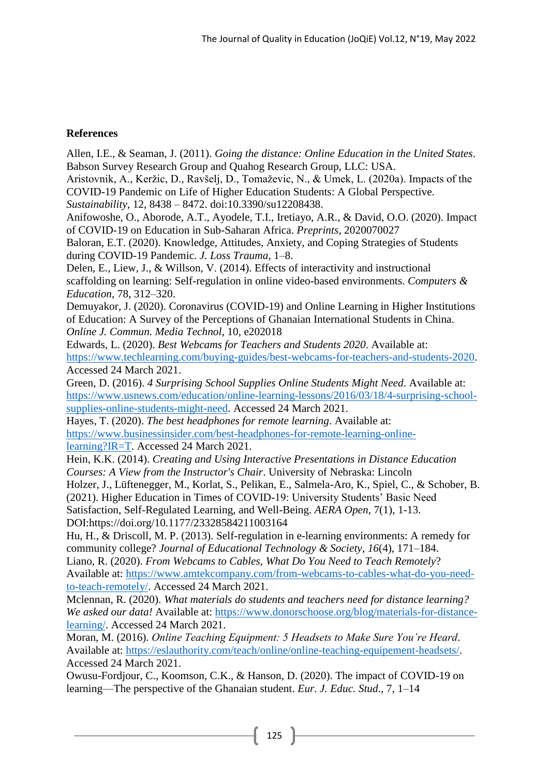## **References**

Allen, I.E., & Seaman, J. (2011). *Going the distance: Online Education in the United States*. Babson Survey Research Group and Quahog Research Group, LLC: USA. Aristovnik, A., Keržic, D., Ravšelj, D., Tomaževic, N., & Umek, L. (2020a). Impacts of the COVID-19 Pandemic on Life of Higher Education Students: A Global Perspective. *Sustainability*, 12, 8438 – 8472. doi:10.3390/su12208438. Anifowoshe, O., Aborode, A.T., Ayodele, T.I., Iretiayo, A.R., & David, O.O. (2020). Impact of COVID-19 on Education in Sub-Saharan Africa. *Preprints*, 2020070027 Baloran, E.T. (2020). Knowledge, Attitudes, Anxiety, and Coping Strategies of Students during COVID-19 Pandemic. *J. Loss Trauma*, 1–8. Delen, E., Liew, J., & Willson, V. (2014). Effects of interactivity and instructional scaffolding on learning: Self-regulation in online video-based environments. *Computers & Education*, 78, 312–320. Demuyakor, J. (2020). Coronavirus (COVID-19) and Online Learning in Higher Institutions of Education: A Survey of the Perceptions of Ghanaian International Students in China. *Online J. Commun. Media Technol*, 10, e202018 Edwards, L. (2020). *Best Webcams for Teachers and Students 2020*. Available at: [https://www.techlearning.com/buying-guides/best-webcams-for-teachers-and-students-2020.](https://www.techlearning.com/buying-guides/best-webcams-for-teachers-and-students-2020) Accessed 24 March 2021. Green, D. (2016). *4 Surprising School Supplies Online Students Might Need*. Available at: [https://www.usnews.com/education/online-learning-lessons/2016/03/18/4-surprising-school](https://www.usnews.com/education/online-learning-lessons/2016/03/18/4-surprising-school-supplies-online-students-might-need)[supplies-online-students-might-need.](https://www.usnews.com/education/online-learning-lessons/2016/03/18/4-surprising-school-supplies-online-students-might-need) Accessed 24 March 2021. Hayes, T. (2020). *The best headphones for remote learning*. Available at: [https://www.businessinsider.com/best-headphones-for-remote-learning-online](https://www.businessinsider.com/best-headphones-for-remote-learning-online-learning?IR=T)[learning?IR=T.](https://www.businessinsider.com/best-headphones-for-remote-learning-online-learning?IR=T) Accessed 24 March 2021. Hein, K.K. (2014). *Creating and Using Interactive Presentations in Distance Education Courses: A View from the Instructor's Chair*. University of Nebraska: Lincoln Holzer, J., Lüftenegger, M., Korlat, S., Pelikan, E., Salmela-Aro, K., Spiel, C., & Schober, B. (2021). Higher Education in Times of COVID-19: University Students' Basic Need Satisfaction, Self-Regulated Learning, and Well-Being. *AERA Open*, 7(1), 1-13. DOI:https://doi.org/10.1177/23328584211003164 Hu, H., & Driscoll, M. P. (2013). Self-regulation in e-learning environments: A remedy for community college? *Journal of Educational Technology & Society*, *16*(4), 171–184. Liano, R. (2020). *From Webcams to Cables, What Do You Need to Teach Remotely*? Available at: [https://www.amtekcompany.com/from-webcams-to-cables-what-do-you-need](https://www.amtekcompany.com/from-webcams-to-cables-what-do-you-need-to-teach-remotely/)[to-teach-remotely/.](https://www.amtekcompany.com/from-webcams-to-cables-what-do-you-need-to-teach-remotely/) Accessed 24 March 2021. Mclennan, R. (2020). *What materials do students and teachers need for distance learning? We asked our data!* Available at: [https://www.donorschoose.org/blog/materials-for-distance](https://www.donorschoose.org/blog/materials-for-distance-learning/)[learning/.](https://www.donorschoose.org/blog/materials-for-distance-learning/) Accessed 24 March 2021. Moran, M. (2016). *Online Teaching Equipment: 5 Headsets to Make Sure You're Heard*. Available at: [https://eslauthority.com/teach/online/online-teaching-equipement-headsets/.](https://eslauthority.com/teach/online/online-teaching-equipement-headsets/)

Accessed 24 March 2021.

Owusu-Fordjour, C., Koomson, C.K., & Hanson, D. (2020). The impact of COVID-19 on learning—The perspective of the Ghanaian student. *Eur. J. Educ. Stud*., 7, 1–14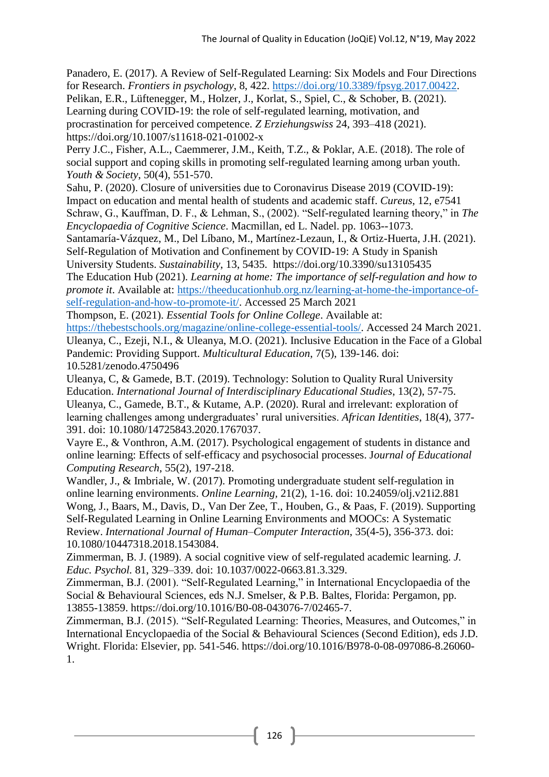Panadero, E. (2017). A Review of Self-Regulated Learning: Six Models and Four Directions for Research. *Frontiers in psychology*, 8, 422. [https://doi.org/10.3389/fpsyg.2017.00422.](https://doi.org/10.3389/fpsyg.2017.00422)

Pelikan, E.R., Lüftenegger, M., Holzer, J., Korlat, S., Spiel, C., & Schober, B. (2021). Learning during COVID-19: the role of self-regulated learning, motivation, and procrastination for perceived competence. *Z Erziehungswiss* 24, 393–418 (2021).

https://doi.org/10.1007/s11618-021-01002-x

Perry J.C., Fisher, A.L., Caemmerer, J.M., Keith, T.Z., & Poklar, A.E. (2018). The role of social support and coping skills in promoting self-regulated learning among urban youth. *Youth & Society*, 50(4), 551-570.

Sahu, P. (2020). Closure of universities due to Coronavirus Disease 2019 (COVID-19): Impact on education and mental health of students and academic staff. *Cureus*, 12, e7541 Schraw, G., Kauffman, D. F., & Lehman, S., (2002). "Self-regulated learning theory," in *The Encyclopaedia of Cognitive Science*. Macmillan, ed L. Nadel. pp. 1063--1073.

Santamaría-Vázquez, M., Del Líbano, M., Martínez-Lezaun, I., & Ortiz-Huerta, J.H. (2021). Self-Regulation of Motivation and Confinement by COVID-19: A Study in Spanish University Students. *Sustainability*, 13, 5435. https://doi.org/10.3390/su13105435

The Education Hub (2021). *Learning at home: The importance of self-regulation and how to promote it*. Available at: [https://theeducationhub.org.nz/learning-at-home-the-importance-of](https://theeducationhub.org.nz/learning-at-home-the-importance-of-self-regulation-and-how-to-promote-it/)[self-regulation-and-how-to-promote-it/.](https://theeducationhub.org.nz/learning-at-home-the-importance-of-self-regulation-and-how-to-promote-it/) Accessed 25 March 2021

Thompson, E. (2021). *Essential Tools for Online College*. Available at: [https://thebestschools.org/magazine/online-college-essential-tools/.](https://thebestschools.org/magazine/online-college-essential-tools/) Accessed 24 March 2021. Uleanya, C., Ezeji, N.I., & Uleanya, M.O. (2021). Inclusive Education in the Face of a Global Pandemic: Providing Support. *Multicultural Education*, 7(5), 139-146. doi: 10.5281/zenodo.4750496

Uleanya, C, & Gamede, B.T. (2019). Technology: Solution to Quality Rural University Education. *International Journal of Interdisciplinary Educational Studies*, 13(2), 57-75. Uleanya, C., Gamede, B.T., & Kutame, A.P. (2020). Rural and irrelevant: exploration of learning challenges among undergraduates' rural universities. *African Identities*, 18(4), 377- 391. doi: 10.1080/14725843.2020.1767037.

Vayre E., & Vonthron, A.M. (2017). Psychological engagement of students in distance and online learning: Effects of self-efficacy and psychosocial processes. J*ournal of Educational Computing Research*, 55(2), 197-218.

Wandler, J., & Imbriale, W. (2017). Promoting undergraduate student self-regulation in online learning environments. *Online Learning,* 21(2), 1-16. doi: 10.24059/olj.v21i2.881 Wong, J., Baars, M., Davis, D., Van Der Zee, T., Houben, G., & Paas, F. (2019). Supporting Self-Regulated Learning in Online Learning Environments and MOOCs: A Systematic Review. *International Journal of Human–Computer Interaction*, 35(4-5), 356-373. doi: 10.1080/10447318.2018.1543084.

Zimmerman, B. J. (1989). A social cognitive view of self-regulated academic learning. *J. Educ. Psychol.* 81, 329–339. doi: 10.1037/0022-0663.81.3.329.

Zimmerman, B.J. (2001). "Self-Regulated Learning," in International Encyclopaedia of the Social & Behavioural Sciences, eds N.J. Smelser, & P.B. Baltes, Florida: Pergamon, pp. 13855-13859. https://doi.org/10.1016/B0-08-043076-7/02465-7.

Zimmerman, B.J. (2015). "Self-Regulated Learning: Theories, Measures, and Outcomes," in International Encyclopaedia of the Social & Behavioural Sciences (Second Edition), eds J.D. Wright. Florida: Elsevier, pp. 541-546. https://doi.org/10.1016/B978-0-08-097086-8.26060- 1.